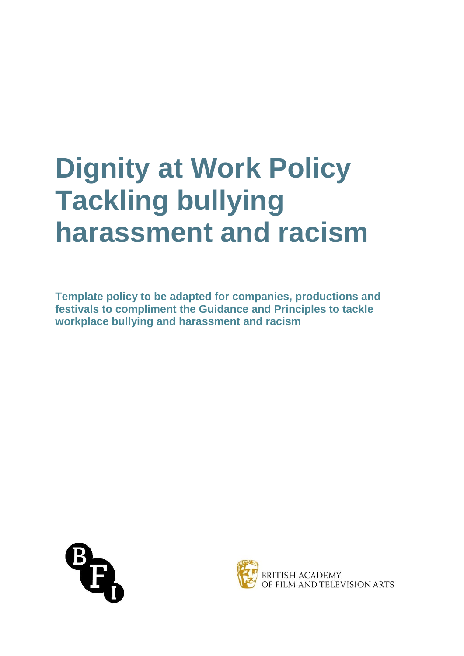# **Dignity at Work Policy Tackling bullying harassment and racism**

**Template policy to be adapted for companies, productions and festivals to compliment the Guidance and Principles to tackle workplace bullying and harassment and racism**



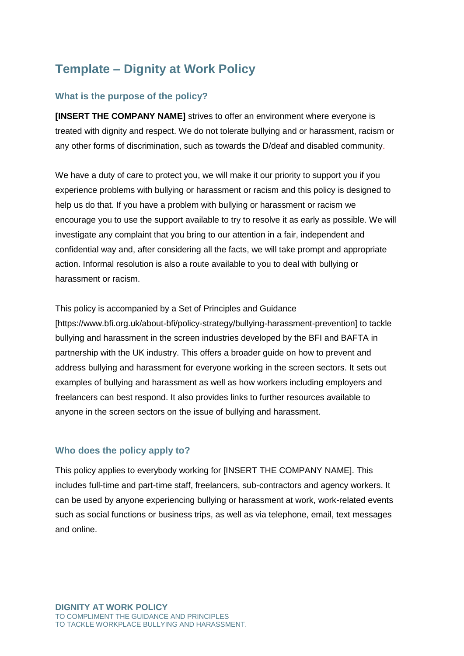# **Template – Dignity at Work Policy**

# **What is the purpose of the policy?**

**[INSERT THE COMPANY NAME]** strives to offer an environment where everyone is treated with dignity and respect. We do not tolerate bullying and or harassment, racism or any other forms of discrimination, such as towards the D/deaf and disabled community.

We have a duty of care to protect you, we will make it our priority to support you if you experience problems with bullying or harassment or racism and this policy is designed to help us do that. If you have a problem with bullying or harassment or racism we encourage you to use the support available to try to resolve it as early as possible. We will investigate any complaint that you bring to our attention in a fair, independent and confidential way and, after considering all the facts, we will take prompt and appropriate action. Informal resolution is also a route available to you to deal with bullying or harassment or racism.

This policy is accompanied by a Set of Principles and Guidance

[https://www.bfi.org.uk/about-bfi/policy-strategy/bullying-harassment-prevention] to tackle bullying and harassment in the screen industries developed by the BFI and BAFTA in partnership with the UK industry. This offers a broader guide on how to prevent and address bullying and harassment for everyone working in the screen sectors. It sets out examples of bullying and harassment as well as how workers including employers and freelancers can best respond. It also provides links to further resources available to anyone in the screen sectors on the issue of bullying and harassment.

# **Who does the policy apply to?**

This policy applies to everybody working for [INSERT THE COMPANY NAME]. This includes full-time and part-time staff, freelancers, sub-contractors and agency workers. It can be used by anyone experiencing bullying or harassment at work, work-related events such as social functions or business trips, as well as via telephone, email, text messages and online.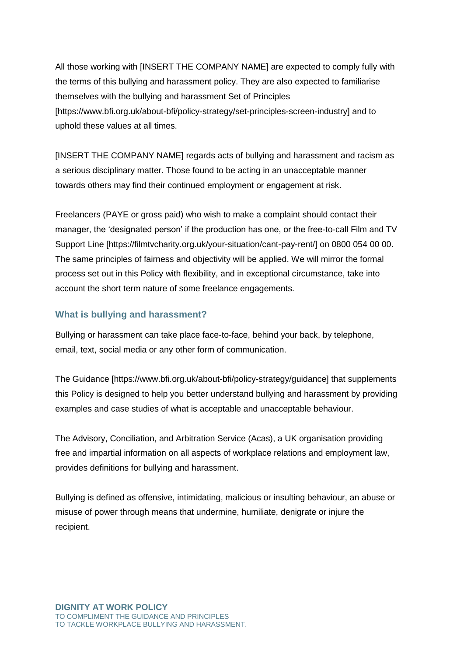All those working with [INSERT THE COMPANY NAME] are expected to comply fully with the terms of this bullying and harassment policy. They are also expected to familiarise themselves with the bullying and harassment Set of Principles [https://www.bfi.org.uk/about-bfi/policy-strategy/set-principles-screen-industry] and to uphold these values at all times.

[INSERT THE COMPANY NAME] regards acts of bullying and harassment and racism as a serious disciplinary matter. Those found to be acting in an unacceptable manner towards others may find their continued employment or engagement at risk.

Freelancers (PAYE or gross paid) who wish to make a complaint should contact their manager, the 'designated person' if the production has one, or the free-to-call Film and TV Support Line [https://filmtvcharity.org.uk/your-situation/cant-pay-rent/] on 0800 054 00 00. The same principles of fairness and objectivity will be applied. We will mirror the formal process set out in this Policy with flexibility, and in exceptional circumstance, take into account the short term nature of some freelance engagements.

# **What is bullying and harassment?**

Bullying or harassment can take place face-to-face, behind your back, by telephone, email, text, social media or any other form of communication.

The Guidance [https://www.bfi.org.uk/about-bfi/policy-strategy/guidance] that supplements this Policy is designed to help you better understand bullying and harassment by providing examples and case studies of what is acceptable and unacceptable behaviour.

The Advisory, Conciliation, and Arbitration Service (Acas), a UK organisation providing free and impartial information on all aspects of workplace relations and employment law, provides definitions for bullying and harassment.

Bullying is defined as offensive, intimidating, malicious or insulting behaviour, an abuse or misuse of power through means that undermine, humiliate, denigrate or injure the recipient.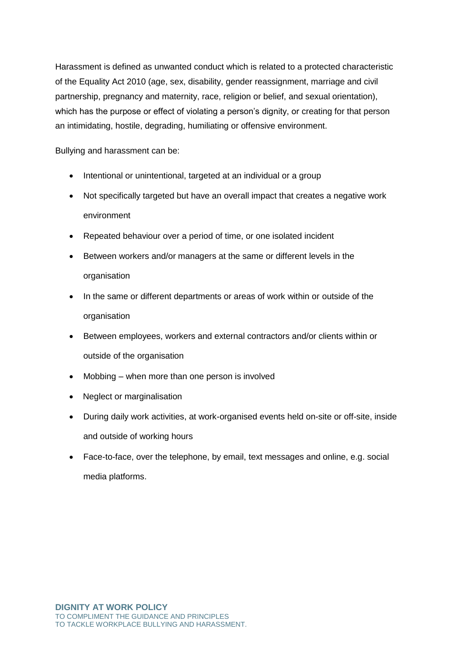Harassment is defined as unwanted conduct which is related to a protected characteristic of the Equality Act 2010 (age, sex, disability, gender reassignment, marriage and civil partnership, pregnancy and maternity, race, religion or belief, and sexual orientation), which has the purpose or effect of violating a person's dignity, or creating for that person an intimidating, hostile, degrading, humiliating or offensive environment.

Bullying and harassment can be:

- Intentional or unintentional, targeted at an individual or a group
- Not specifically targeted but have an overall impact that creates a negative work environment
- Repeated behaviour over a period of time, or one isolated incident
- Between workers and/or managers at the same or different levels in the organisation
- In the same or different departments or areas of work within or outside of the organisation
- Between employees, workers and external contractors and/or clients within or outside of the organisation
- Mobbing when more than one person is involved
- Neglect or marginalisation
- During daily work activities, at work-organised events held on-site or off-site, inside and outside of working hours
- Face-to-face, over the telephone, by email, text messages and online, e.g. social media platforms.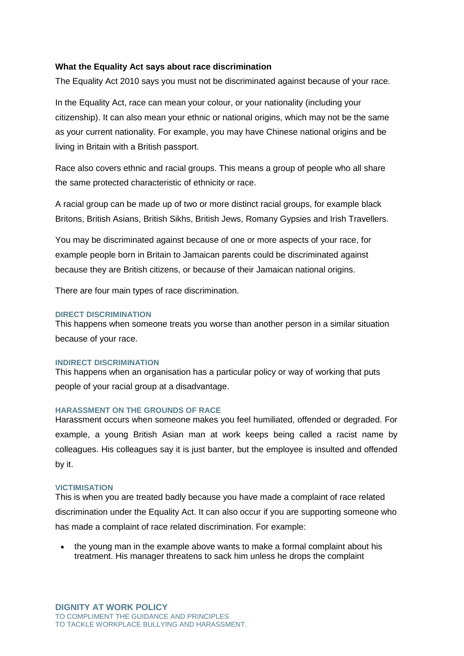#### **What the Equality Act says about race discrimination**

The Equality Act 2010 says you must not be discriminated against because of your race.

In the Equality Act, race can mean your colour, or your nationality (including your citizenship). It can also mean your ethnic or national origins, which may not be the same as your current nationality. For example, you may have Chinese national origins and be living in Britain with a British passport.

Race also covers ethnic and racial groups. This means a group of people who all share the same protected characteristic of ethnicity or race.

A racial group can be made up of two or more distinct racial groups, for example black Britons, British Asians, British Sikhs, British Jews, Romany Gypsies and Irish Travellers.

You may be discriminated against because of one or more aspects of your race, for example people born in Britain to Jamaican parents could be discriminated against because they are British citizens, or because of their Jamaican national origins.

There are four main types of race discrimination.

#### **DIRECT DISCRIMINATION**

This happens when someone treats you worse than another person in a similar situation because of your race.

#### **INDIRECT DISCRIMINATION**

This happens when an organisation has a particular policy or way of working that puts people of your racial group at a disadvantage.

#### **HARASSMENT ON THE GROUNDS OF RACE**

Harassment occurs when someone makes you feel humiliated, offended or degraded. For example, a young British Asian man at work keeps being called a racist name by colleagues. His colleagues say it is just banter, but the employee is insulted and offended by it.

#### **VICTIMISATION**

This is when you are treated badly because you have made a complaint of race related discrimination under the Equality Act. It can also occur if you are supporting someone who has made a complaint of race related discrimination. For example:

 the young man in the example above wants to make a formal complaint about his treatment. His manager threatens to sack him unless he drops the complaint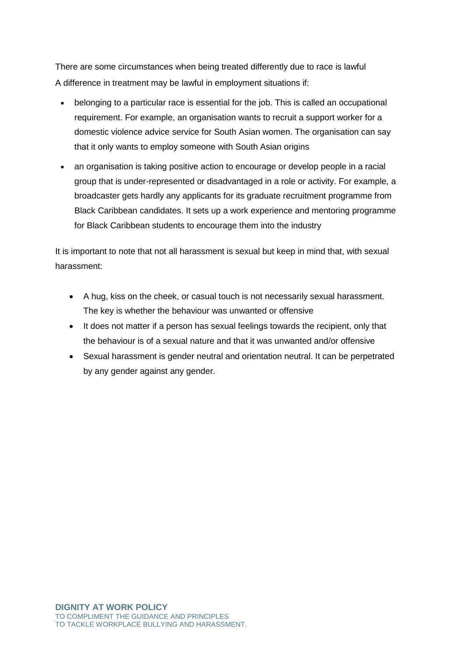There are some circumstances when being treated differently due to race is lawful A difference in treatment may be lawful in employment situations if:

- belonging to a particular race is essential for the job. This is called an [occupational](https://www.equalityhumanrights.com/en/advice-and-guidance/commonly-used-terms-equal-rights#occupational)  [requirement.](https://www.equalityhumanrights.com/en/advice-and-guidance/commonly-used-terms-equal-rights#occupational) For example, an organisation wants to recruit a support worker for a domestic violence advice service for South Asian women. The organisation can say that it only wants to employ someone with South Asian origins
- an organisation is taking [positive action](https://www.equalityhumanrights.com/en/advice-and-guidance/commonly-used-terms-equal-rights#positive) to encourage or develop people in a racial group that is under-represented or disadvantaged in a role or activity. For example, a broadcaster gets hardly any applicants for its graduate recruitment programme from Black Caribbean candidates. It sets up a work experience and mentoring programme for Black Caribbean students to encourage them into the industry

It is important to note that not all harassment is sexual but keep in mind that, with sexual harassment:

- A hug, kiss on the cheek, or casual touch is not necessarily sexual harassment. The key is whether the behaviour was unwanted or offensive
- It does not matter if a person has sexual feelings towards the recipient, only that the behaviour is of a sexual nature and that it was unwanted and/or offensive
- Sexual harassment is gender neutral and orientation neutral. It can be perpetrated by any gender against any gender.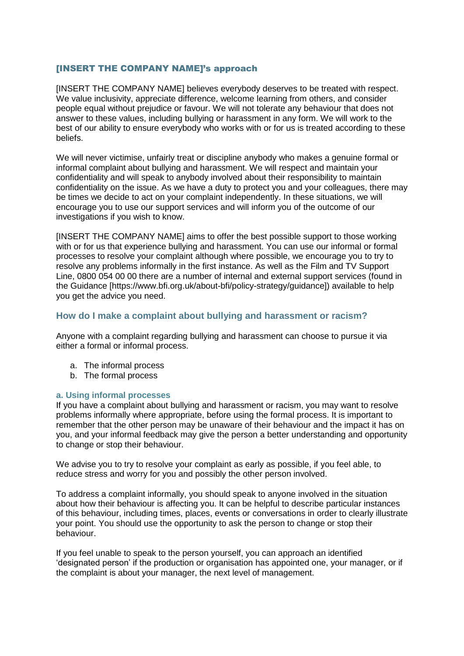#### [INSERT THE COMPANY NAME]'s approach

[INSERT THE COMPANY NAME] believes everybody deserves to be treated with respect. We value inclusivity, appreciate difference, welcome learning from others, and consider people equal without prejudice or favour. We will not tolerate any behaviour that does not answer to these values, including bullying or harassment in any form. We will work to the best of our ability to ensure everybody who works with or for us is treated according to these beliefs.

We will never victimise, unfairly treat or discipline anybody who makes a genuine formal or informal complaint about bullying and harassment. We will respect and maintain your confidentiality and will speak to anybody involved about their responsibility to maintain confidentiality on the issue. As we have a duty to protect you and your colleagues, there may be times we decide to act on your complaint independently. In these situations, we will encourage you to use our support services and will inform you of the outcome of our investigations if you wish to know.

[INSERT THE COMPANY NAME] aims to offer the best possible support to those working with or for us that experience bullying and harassment. You can use our informal or formal processes to resolve your complaint although where possible, we encourage you to try to resolve any problems informally in the first instance. As well as the Film and TV Support Line, 0800 054 00 00 there are a number of internal and external support services (found in the Guidance [https://www.bfi.org.uk/about-bfi/policy-strategy/guidance]) available to help you get the advice you need.

#### **How do I make a complaint about bullying and harassment or racism?**

Anyone with a complaint regarding bullying and harassment can choose to pursue it via either a formal or informal process.

- a. The informal process
- b. The formal process

#### **a. Using informal processes**

If you have a complaint about bullying and harassment or racism, you may want to resolve problems informally where appropriate, before using the formal process. It is important to remember that the other person may be unaware of their behaviour and the impact it has on you, and your informal feedback may give the person a better understanding and opportunity to change or stop their behaviour.

We advise you to try to resolve your complaint as early as possible, if you feel able, to reduce stress and worry for you and possibly the other person involved.

To address a complaint informally, you should speak to anyone involved in the situation about how their behaviour is affecting you. It can be helpful to describe particular instances of this behaviour, including times, places, events or conversations in order to clearly illustrate your point. You should use the opportunity to ask the person to change or stop their behaviour.

If you feel unable to speak to the person yourself, you can approach an identified 'designated person' if the production or organisation has appointed one, your manager, or if the complaint is about your manager, the next level of management.